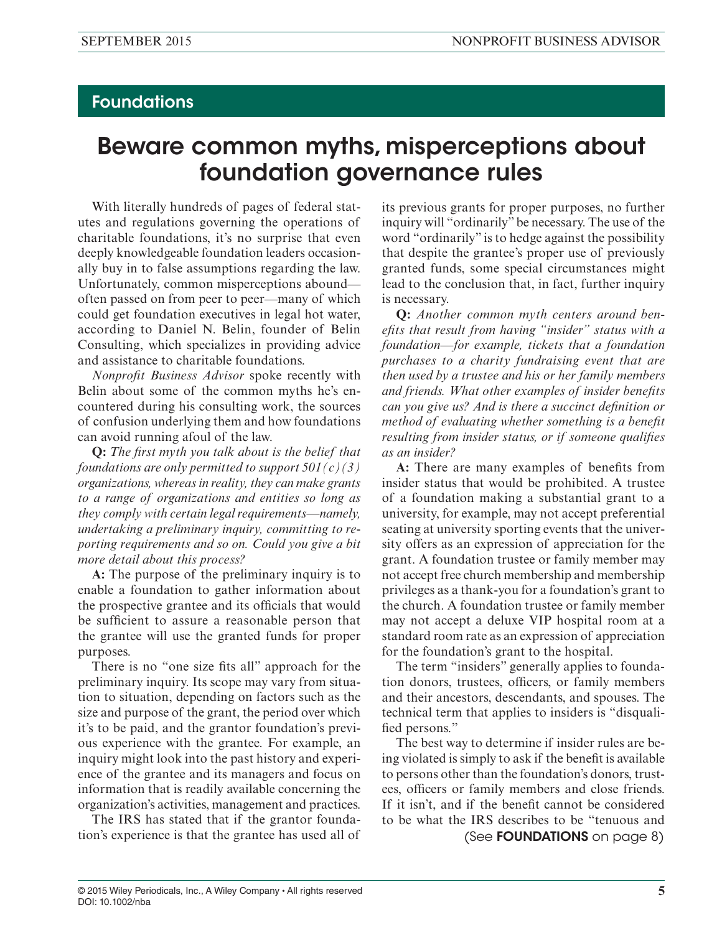# **Foundations**

# Beware common myths, misperceptions about foundation governance rules

With literally hundreds of pages of federal statutes and regulations governing the operations of charitable foundations, it's no surprise that even deeply knowledgeable foundation leaders occasionally buy in to false assumptions regarding the law. Unfortunately, common misperceptions abound often passed on from peer to peer—many of which could get foundation executives in legal hot water, according to Daniel N. Belin, founder of Belin Consulting, which specializes in providing advice and assistance to charitable foundations.

*Nonprofit Business Advisor* spoke recently with Belin about some of the common myths he's encountered during his consulting work, the sources of confusion underlying them and how foundations can avoid running afoul of the law.

**Q:** *The first myth you talk about is the belief that foundations are only permitted to support 501(c)(3) organizations, whereas in reality, they can make grants to a range of organizations and entities so long as they comply with certain legal requirements—namely, undertaking a preliminary inquiry, committing to reporting requirements and so on. Could you give a bit more detail about this process?*

**A:** The purpose of the preliminary inquiry is to enable a foundation to gather information about the prospective grantee and its officials that would be sufficient to assure a reasonable person that the grantee will use the granted funds for proper purposes.

There is no "one size fits all" approach for the preliminary inquiry. Its scope may vary from situation to situation, depending on factors such as the size and purpose of the grant, the period over which it's to be paid, and the grantor foundation's previous experience with the grantee. For example, an inquiry might look into the past history and experience of the grantee and its managers and focus on information that is readily available concerning the organization's activities, management and practices.

The IRS has stated that if the grantor foundation's experience is that the grantee has used all of its previous grants for proper purposes, no further inquiry will "ordinarily" be necessary. The use of the word "ordinarily" is to hedge against the possibility that despite the grantee's proper use of previously granted funds, some special circumstances might lead to the conclusion that, in fact, further inquiry is necessary.

**Q:** *Another common myth centers around benefits that result from having "insider" status with a foundation—for example, tickets that a foundation purchases to a charity fundraising event that are then used by a trustee and his or her family members and friends. What other examples of insider benefits can you give us? And is there a succinct definition or method of evaluating whether something is a benefit resulting from insider status, or if someone qualifies as an insider?*

**A:** There are many examples of benefits from insider status that would be prohibited. A trustee of a foundation making a substantial grant to a university, for example, may not accept preferential seating at university sporting events that the university offers as an expression of appreciation for the grant. A foundation trustee or family member may not accept free church membership and membership privileges as a thank-you for a foundation's grant to the church. A foundation trustee or family member may not accept a deluxe VIP hospital room at a standard room rate as an expression of appreciation for the foundation's grant to the hospital.

The term "insiders" generally applies to foundation donors, trustees, officers, or family members and their ancestors, descendants, and spouses. The technical term that applies to insiders is "disqualified persons."

The best way to determine if insider rules are being violated is simply to ask if the benefit is available to persons other than the foundation's donors, trustees, officers or family members and close friends. If it isn't, and if the benefit cannot be considered to be what the IRS describes to be "tenuous and

(See FOUNDATIONS on page 8)